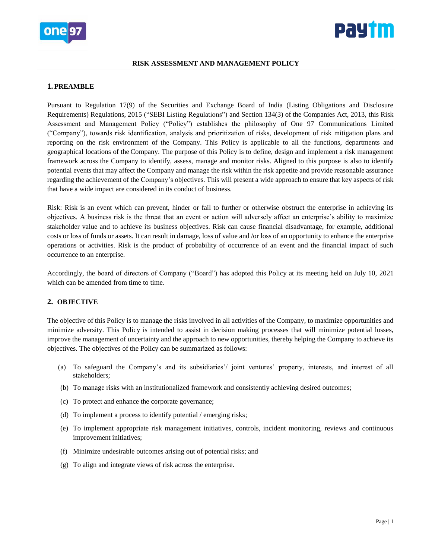



#### **RISK ASSESSMENT AND MANAGEMENT POLICY**

#### **1. PREAMBLE**

Pursuant to Regulation 17(9) of the Securities and Exchange Board of India (Listing Obligations and Disclosure Requirements) Regulations, 2015 ("SEBI Listing Regulations") and Section 134(3) of the Companies Act, 2013, this Risk Assessment and Management Policy ("Policy") establishes the philosophy of One 97 Communications Limited ("Company"), towards risk identification, analysis and prioritization of risks, development of risk mitigation plans and reporting on the risk environment of the Company. This Policy is applicable to all the functions, departments and geographical locations of the Company. The purpose of this Policy is to define, design and implement a risk management framework across the Company to identify, assess, manage and monitor risks. Aligned to this purpose is also to identify potential events that may affect the Company and manage the risk within the risk appetite and provide reasonable assurance regarding the achievement of the Company's objectives. This will present a wide approach to ensure that key aspects of risk that have a wide impact are considered in its conduct of business.

Risk: Risk is an event which can prevent, hinder or fail to further or otherwise obstruct the enterprise in achieving its objectives. A business risk is the threat that an event or action will adversely affect an enterprise's ability to maximize stakeholder value and to achieve its business objectives. Risk can cause financial disadvantage, for example, additional costs or loss of funds or assets. It can result in damage, loss of value and /or loss of an opportunity to enhance the enterprise operations or activities. Risk is the product of probability of occurrence of an event and the financial impact of such occurrence to an enterprise.

Accordingly, the board of directors of Company ("Board") has adopted this Policy at its meeting held on July 10, 2021 which can be amended from time to time.

### **2. OBJECTIVE**

The objective of this Policy is to manage the risks involved in all activities of the Company, to maximize opportunities and minimize adversity. This Policy is intended to assist in decision making processes that will minimize potential losses, improve the management of uncertainty and the approach to new opportunities, thereby helping the Company to achieve its objectives. The objectives of the Policy can be summarized as follows:

- (a) To safeguard the Company's and its subsidiaries'/ joint ventures' property, interests, and interest of all stakeholders;
- (b) To manage risks with an institutionalized framework and consistently achieving desired outcomes;
- (c) To protect and enhance the corporate governance;
- (d) To implement a process to identify potential / emerging risks;
- (e) To implement appropriate risk management initiatives, controls, incident monitoring, reviews and continuous improvement initiatives;
- (f) Minimize undesirable outcomes arising out of potential risks; and
- (g) To align and integrate views of risk across the enterprise.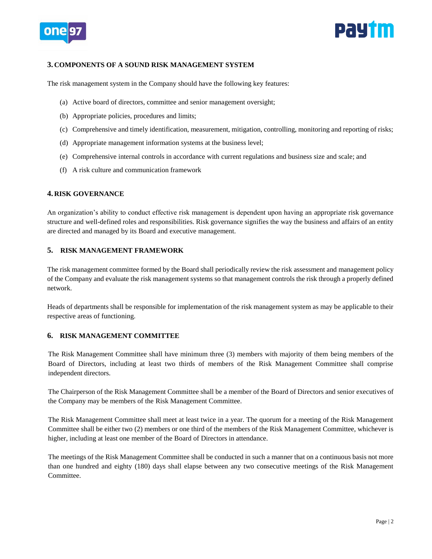



## **3. COMPONENTS OF A SOUND RISK MANAGEMENT SYSTEM**

The risk management system in the Company should have the following key features:

- (a) Active board of directors, committee and senior management oversight;
- (b) Appropriate policies, procedures and limits;
- (c) Comprehensive and timely identification, measurement, mitigation, controlling, monitoring and reporting of risks;
- (d) Appropriate management information systems at the business level;
- (e) Comprehensive internal controls in accordance with current regulations and business size and scale; and
- (f) A risk culture and communication framework

### **4. RISK GOVERNANCE**

An organization's ability to conduct effective risk management is dependent upon having an appropriate risk governance structure and well-defined roles and responsibilities. Risk governance signifies the way the business and affairs of an entity are directed and managed by its Board and executive management.

# **5. RISK MANAGEMENT FRAMEWORK**

The risk management committee formed by the Board shall periodically review the risk assessment and management policy of the Company and evaluate the risk management systems so that management controls the risk through a properly defined network.

Heads of departments shall be responsible for implementation of the risk management system as may be applicable to their respective areas of functioning.

## **6. RISK MANAGEMENT COMMITTEE**

The Risk Management Committee shall have minimum three (3) members with majority of them being members of the Board of Directors, including at least two thirds of members of the Risk Management Committee shall comprise independent directors.

The Chairperson of the Risk Management Committee shall be a member of the Board of Directors and senior executives of the Company may be members of the Risk Management Committee.

The Risk Management Committee shall meet at least twice in a year. The quorum for a meeting of the Risk Management Committee shall be either two (2) members or one third of the members of the Risk Management Committee, whichever is higher, including at least one member of the Board of Directors in attendance.

The meetings of the Risk Management Committee shall be conducted in such a manner that on a continuous basis not more than one hundred and eighty (180) days shall elapse between any two consecutive meetings of the Risk Management Committee.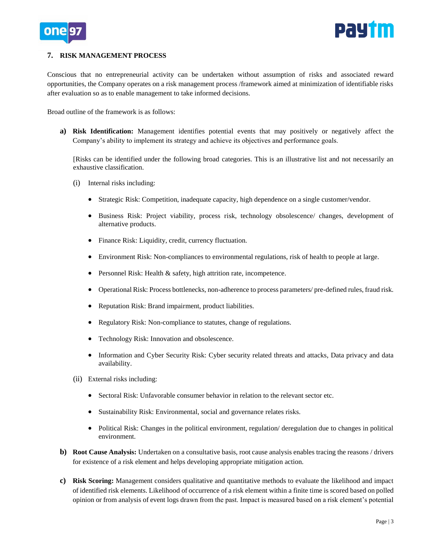



## **7. RISK MANAGEMENT PROCESS**

Conscious that no entrepreneurial activity can be undertaken without assumption of risks and associated reward opportunities, the Company operates on a risk management process /framework aimed at minimization of identifiable risks after evaluation so as to enable management to take informed decisions.

Broad outline of the framework is as follows:

**a) Risk Identification:** Management identifies potential events that may positively or negatively affect the Company's ability to implement its strategy and achieve its objectives and performance goals.

[Risks can be identified under the following broad categories. This is an illustrative list and not necessarily an exhaustive classification.

- (i) Internal risks including:
	- Strategic Risk: Competition, inadequate capacity, high dependence on a single customer/vendor.
	- Business Risk: Project viability, process risk, technology obsolescence/ changes, development of alternative products.
	- Finance Risk: Liquidity, credit, currency fluctuation.
	- Environment Risk: Non-compliances to environmental regulations, risk of health to people at large.
	- Personnel Risk: Health & safety, high attrition rate, incompetence.
	- Operational Risk: Process bottlenecks, non-adherence to process parameters/ pre-defined rules, fraud risk.
	- Reputation Risk: Brand impairment, product liabilities.
	- Regulatory Risk: Non-compliance to statutes, change of regulations.
	- Technology Risk: Innovation and obsolescence.
	- Information and Cyber Security Risk: Cyber security related threats and attacks, Data privacy and data availability.
- (ii) External risks including:
	- Sectoral Risk: Unfavorable consumer behavior in relation to the relevant sector etc.
	- Sustainability Risk: Environmental, social and governance relates risks.
	- Political Risk: Changes in the political environment, regulation/ deregulation due to changes in political environment.
- **b) Root Cause Analysis:** Undertaken on a consultative basis, root cause analysis enables tracing the reasons / drivers for existence of a risk element and helps developing appropriate mitigation action.
- **c) Risk Scoring:** Management considers qualitative and quantitative methods to evaluate the likelihood and impact of identified risk elements. Likelihood of occurrence of a risk element within a finite time is scored based on polled opinion or from analysis of event logs drawn from the past. Impact is measured based on a risk element's potential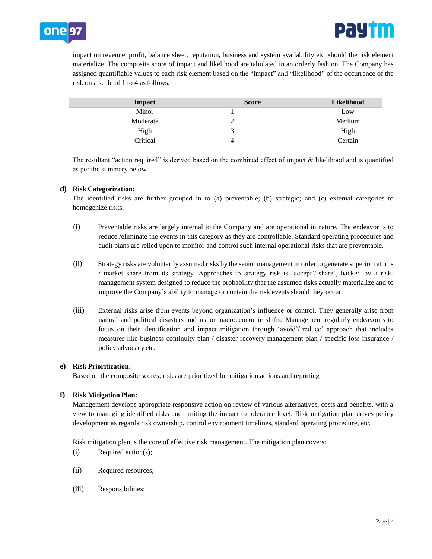

impact on revenue, profit, balance sheet, reputation, business and system availability etc. should the risk element materialize. The composite score of impact and likelihood are tabulated in an orderly fashion. The Company has assigned quantifiable values to each risk element based on the "impact" and "likelihood" of the occurrence of the risk on a scale of 1 to 4 asfollows.

| Impact   | <b>Score</b> | <b>Likelihood</b> |
|----------|--------------|-------------------|
| Minor    |              | Low               |
| Moderate |              | Medium            |
| High     |              | High              |
| Critical |              | Certain           |

The resultant "action required" is derived based on the combined effect of impact & likelihood and is quantified as per the summary below.

# **d) Risk Categorization:**

The identified risks are further grouped in to (a) preventable; (b) strategic; and (c) external categories to homogenize risks.

- (i) Preventable risks are largely internal to the Company and are operational in nature. The endeavor is to reduce /eliminate the events in this category as they are controllable. Standard operating procedures and audit plans are relied upon to monitor and control such internal operational risks that are preventable.
- (ii) Strategy risks are voluntarily assumed risks by the senior management in order to generate superior returns / market share from its strategy. Approaches to strategy risk is 'accept'/'share', backed by a riskmanagement system designed to reduce the probability that the assumed risks actually materialize and to improve the Company's ability to manage or contain the risk events should they occur.
- (iii) External risks arise from events beyond organization's influence or control. They generally arise from natural and political disasters and major macroeconomic shifts. Management regularly endeavours to focus on their identification and impact mitigation through 'avoid'/'reduce' approach that includes measures like business continuity plan / disaster recovery management plan / specific loss insurance / policy advocacy etc.

## **e) Risk Prioritization:**

Based on the composite scores, risks are prioritized for mitigation actions and reporting

## **f) Risk Mitigation Plan:**

Management develops appropriate responsive action on review of various alternatives, costs and benefits, with a view to managing identified risks and limiting the impact to tolerance level. Risk mitigation plan drives policy development as regards risk ownership, control environment timelines, standard operating procedure, etc.

Risk mitigation plan is the core of effective risk management. The mitigation plan covers:

- (i) Required action(s);
- (ii) Required resources;
- (iii) Responsibilities;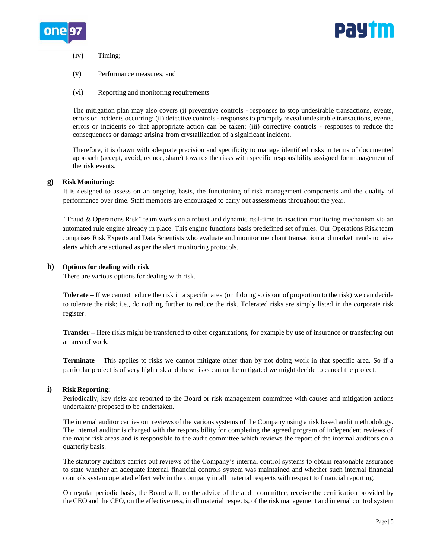



(iv) Timing;

- (v) Performance measures; and
- (vi) Reporting and monitoring requirements

The mitigation plan may also covers (i) preventive controls - responses to stop undesirable transactions, events, errors or incidents occurring; (ii) detective controls - responses to promptly reveal undesirable transactions, events, errors or incidents so that appropriate action can be taken; (iii) corrective controls - responses to reduce the consequences or damage arising from crystallization of a significant incident.

Therefore, it is drawn with adequate precision and specificity to manage identified risks in terms of documented approach (accept, avoid, reduce, share) towards the risks with specific responsibility assigned for management of the risk events.

### **g) Risk Monitoring:**

It is designed to assess on an ongoing basis, the functioning of risk management components and the quality of performance over time. Staff members are encouraged to carry out assessments throughout the year.

"Fraud & Operations Risk" team works on a robust and dynamic real-time transaction monitoring mechanism via an automated rule engine already in place. This engine functions basis predefined set of rules. Our Operations Risk team comprises Risk Experts and Data Scientists who evaluate and monitor merchant transaction and market trends to raise alerts which are actioned as per the alert monitoring protocols.

### **h) Options for dealing with risk**

There are various options for dealing with risk.

**Tolerate –** If we cannot reduce the risk in a specific area (or if doing so is out of proportion to the risk) we can decide to tolerate the risk; i.e., do nothing further to reduce the risk. Tolerated risks are simply listed in the corporate risk register.

**Transfer –** Here risks might be transferred to other organizations, for example by use of insurance or transferring out an area of work.

**Terminate –** This applies to risks we cannot mitigate other than by not doing work in that specific area. So if a particular project is of very high risk and these risks cannot be mitigated we might decide to cancel the project.

#### **i) Risk Reporting:**

Periodically, key risks are reported to the Board or risk management committee with causes and mitigation actions undertaken/ proposed to be undertaken.

The internal auditor carries out reviews of the various systems of the Company using a risk based audit methodology. The internal auditor is charged with the responsibility for completing the agreed program of independent reviews of the major risk areas and is responsible to the audit committee which reviews the report of the internal auditors on a quarterly basis.

The statutory auditors carries out reviews of the Company's internal control systems to obtain reasonable assurance to state whether an adequate internal financial controls system was maintained and whether such internal financial controls system operated effectively in the company in all material respects with respect to financial reporting.

On regular periodic basis, the Board will, on the advice of the audit committee, receive the certification provided by the CEO and the CFO, on the effectiveness, in all material respects, of the risk management and internal control system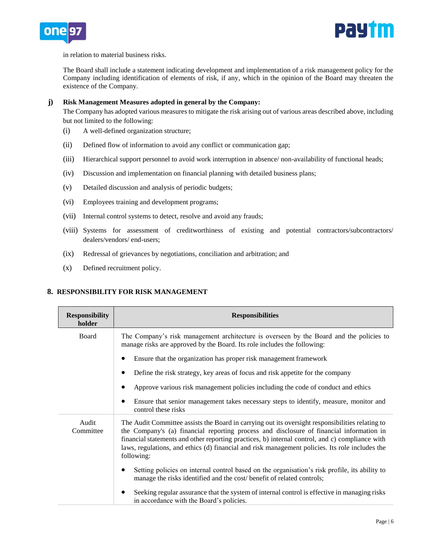



in relation to material business risks.

The Board shall include a statement indicating development and implementation of a risk management policy for the Company including identification of elements of risk, if any, which in the opinion of the Board may threaten the existence of the Company.

### **j) Risk Management Measures adopted in general by the Company:**

The Company has adopted various measures to mitigate the risk arising out of various areas described above, including but not limited to the following:

- (i) A well-defined organization structure;
- (ii) Defined flow of information to avoid any conflict or communication gap;
- (iii) Hierarchical support personnel to avoid work interruption in absence/ non-availability of functional heads;
- (iv) Discussion and implementation on financial planning with detailed business plans;
- (v) Detailed discussion and analysis of periodic budgets;
- (vi) Employees training and development programs;
- (vii) Internal control systems to detect, resolve and avoid any frauds;
- (viii) Systems for assessment of creditworthiness of existing and potential contractors/subcontractors/ dealers/vendors/ end-users;
- (ix) Redressal of grievances by negotiations, conciliation and arbitration; and
- (x) Defined recruitment policy.

# **8. RESPONSIBILITY FOR RISK MANAGEMENT**

| <b>Responsibility</b><br>holder | <b>Responsibilities</b>                                                                                                                                                                                                                                                                                                                                                                                          |
|---------------------------------|------------------------------------------------------------------------------------------------------------------------------------------------------------------------------------------------------------------------------------------------------------------------------------------------------------------------------------------------------------------------------------------------------------------|
| Board                           | The Company's risk management architecture is overseen by the Board and the policies to<br>manage risks are approved by the Board. Its role includes the following:                                                                                                                                                                                                                                              |
|                                 | Ensure that the organization has proper risk management framework                                                                                                                                                                                                                                                                                                                                                |
|                                 | Define the risk strategy, key areas of focus and risk appetite for the company                                                                                                                                                                                                                                                                                                                                   |
|                                 | Approve various risk management policies including the code of conduct and ethics                                                                                                                                                                                                                                                                                                                                |
|                                 | Ensure that senior management takes necessary steps to identify, measure, monitor and<br>$\bullet$<br>control these risks                                                                                                                                                                                                                                                                                        |
| Audit<br>Committee              | The Audit Committee assists the Board in carrying out its oversight responsibilities relating to<br>the Company's (a) financial reporting process and disclosure of financial information in<br>financial statements and other reporting practices, b) internal control, and c) compliance with<br>laws, regulations, and ethics (d) financial and risk management policies. Its role includes the<br>following: |
|                                 | Setting policies on internal control based on the organisation's risk profile, its ability to<br>manage the risks identified and the cost/benefit of related controls;                                                                                                                                                                                                                                           |
|                                 | Seeking regular assurance that the system of internal control is effective in managing risks<br>٠<br>in accordance with the Board's policies.                                                                                                                                                                                                                                                                    |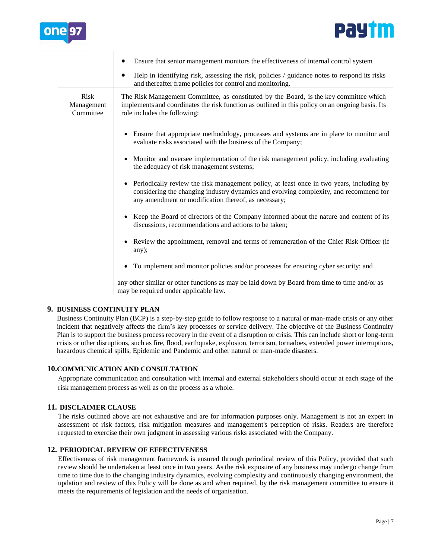



|                                        | Ensure that senior management monitors the effectiveness of internal control system                                                                                                                                                                    |
|----------------------------------------|--------------------------------------------------------------------------------------------------------------------------------------------------------------------------------------------------------------------------------------------------------|
|                                        | Help in identifying risk, assessing the risk, policies $\ell$ guidance notes to respond its risks<br>and thereafter frame policies for control and monitoring.                                                                                         |
| <b>Risk</b><br>Management<br>Committee | The Risk Management Committee, as constituted by the Board, is the key committee which<br>implements and coordinates the risk function as outlined in this policy on an ongoing basis. Its<br>role includes the following:                             |
|                                        | • Ensure that appropriate methodology, processes and systems are in place to monitor and<br>evaluate risks associated with the business of the Company;                                                                                                |
|                                        | Monitor and oversee implementation of the risk management policy, including evaluating<br>$\bullet$<br>the adequacy of risk management systems;                                                                                                        |
|                                        | Periodically review the risk management policy, at least once in two years, including by<br>$\bullet$<br>considering the changing industry dynamics and evolving complexity, and recommend for<br>any amendment or modification thereof, as necessary; |
|                                        | • Keep the Board of directors of the Company informed about the nature and content of its<br>discussions, recommendations and actions to be taken;                                                                                                     |
|                                        | • Review the appointment, removal and terms of remuneration of the Chief Risk Officer (if<br>any);                                                                                                                                                     |
|                                        | To implement and monitor policies and/or processes for ensuring cyber security; and<br>$\bullet$                                                                                                                                                       |
|                                        | any other similar or other functions as may be laid down by Board from time to time and/or as<br>may be required under applicable law.                                                                                                                 |

## **9. BUSINESS CONTINUITY PLAN**

Business Continuity Plan (BCP) is a step-by-step guide to follow response to a natural or man-made crisis or any other incident that negatively affects the firm's key processes or service delivery. The objective of the Business Continuity Plan is to support the business process recovery in the event of a disruption or crisis. This can include short or long-term crisis or other disruptions, such as fire, flood, earthquake, explosion, terrorism, tornadoes, extended power interruptions, hazardous chemical spills, Epidemic and Pandemic and other natural or man-made disasters.

## **10.COMMUNICATION AND CONSULTATION**

Appropriate communication and consultation with internal and external stakeholders should occur at each stage of the risk management process as well as on the process as a whole.

## **11. DISCLAIMER CLAUSE**

The risks outlined above are not exhaustive and are for information purposes only. Management is not an expert in assessment of risk factors, risk mitigation measures and management's perception of risks. Readers are therefore requested to exercise their own judgment in assessing various risks associated with the Company.

### **12. PERIODICAL REVIEW OF EFFECTIVENESS**

Effectiveness of risk management framework is ensured through periodical review of this Policy, provided that such review should be undertaken at least once in two years. As the risk exposure of any business may undergo change from time to time due to the changing industry dynamics, evolving complexity and continuously changing environment, the updation and review of this Policy will be done as and when required, by the risk management committee to ensure it meets the requirements of legislation and the needs of organisation.